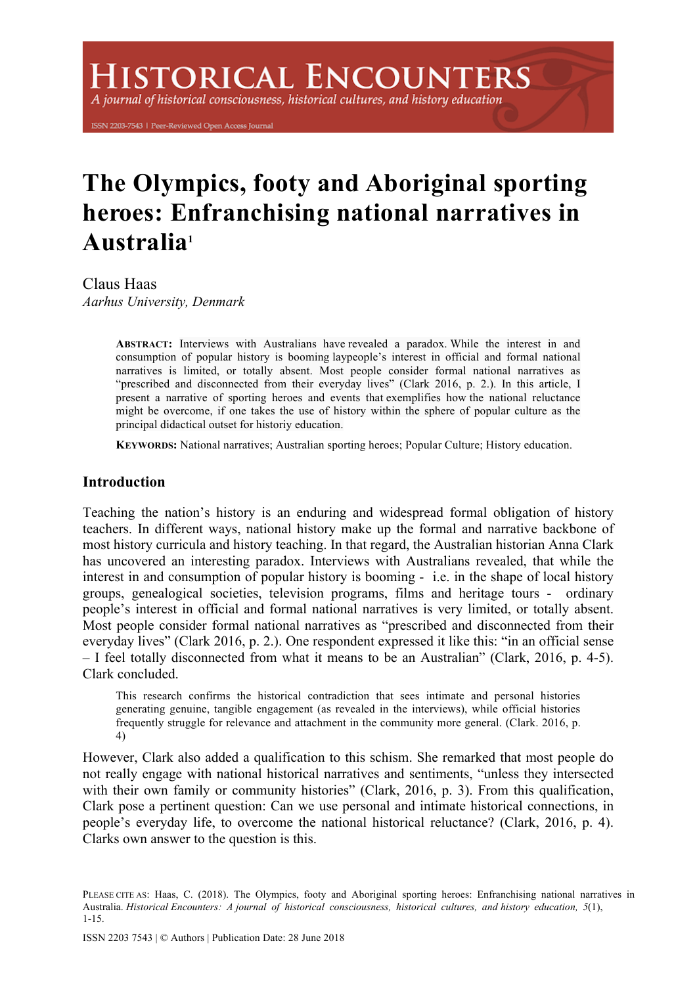# **ISTORICAL ENCOUNTERS**

A journal of historical consciousness, historical cultures, and history education

ISSN 2203-7543 | Peer-Reviewed Open Access Journal

# **The Olympics, footy and Aboriginal sporting heroes: Enfranchising national narratives in Australia1**

Claus Haas *Aarhus University, Denmark*

> **ABSTRACT:** Interviews with Australians have revealed a paradox. While the interest in and consumption of popular history is booming laypeople's interest in official and formal national narratives is limited, or totally absent. Most people consider formal national narratives as "prescribed and disconnected from their everyday lives" (Clark 2016, p. 2.). In this article, I present a narrative of sporting heroes and events that exemplifies how the national reluctance might be overcome, if one takes the use of history within the sphere of popular culture as the principal didactical outset for historiy education.

**KEYWORDS:** National narratives; Australian sporting heroes; Popular Culture; History education.

# **Introduction**

Teaching the nation's history is an enduring and widespread formal obligation of history teachers. In different ways, national history make up the formal and narrative backbone of most history curricula and history teaching. In that regard, the Australian historian Anna Clark has uncovered an interesting paradox. Interviews with Australians revealed, that while the interest in and consumption of popular history is booming - i.e. in the shape of local history groups, genealogical societies, television programs, films and heritage tours - ordinary people's interest in official and formal national narratives is very limited, or totally absent. Most people consider formal national narratives as "prescribed and disconnected from their everyday lives" (Clark 2016, p. 2.). One respondent expressed it like this: "in an official sense – I feel totally disconnected from what it means to be an Australian" (Clark, 2016, p. 4-5). Clark concluded.

This research confirms the historical contradiction that sees intimate and personal histories generating genuine, tangible engagement (as revealed in the interviews), while official histories frequently struggle for relevance and attachment in the community more general. (Clark. 2016, p. 4)

However, Clark also added a qualification to this schism. She remarked that most people do not really engage with national historical narratives and sentiments, "unless they intersected with their own family or community histories" (Clark, 2016, p. 3). From this qualification, Clark pose a pertinent question: Can we use personal and intimate historical connections, in people's everyday life, to overcome the national historical reluctance? (Clark, 2016, p. 4). Clarks own answer to the question is this.

PLEASE CITE AS: Haas, C. (2018). The Olympics, footy and Aboriginal sporting heroes: Enfranchising national narratives in Australia. *Historical Encounters: A journal of historical consciousness, historical cultures, and history education, 5*(1), 1-15.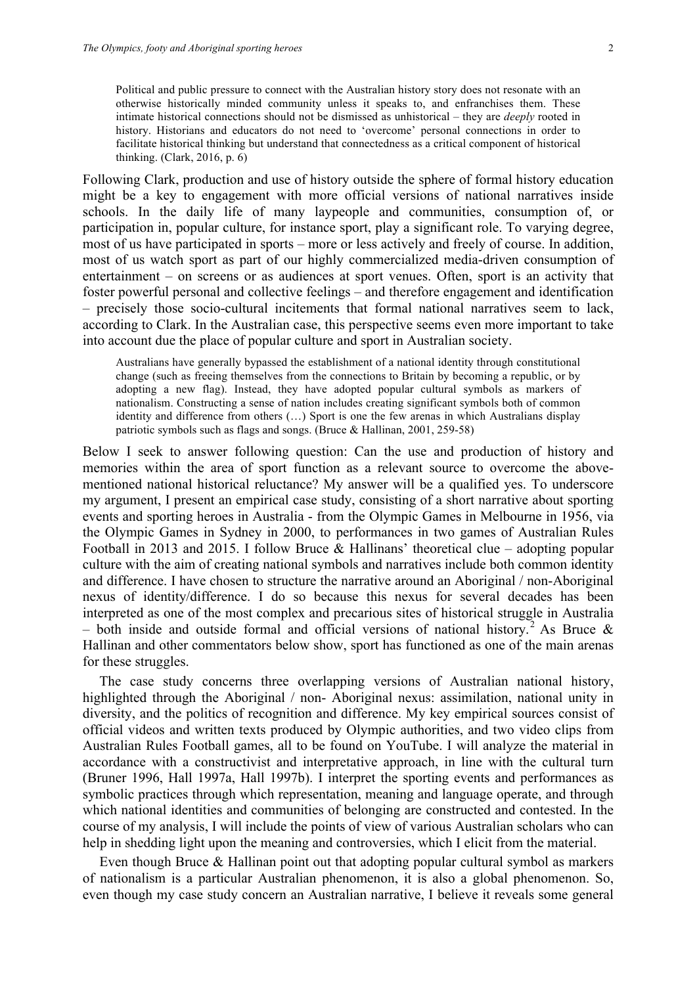Political and public pressure to connect with the Australian history story does not resonate with an otherwise historically minded community unless it speaks to, and enfranchises them. These intimate historical connections should not be dismissed as unhistorical – they are *deeply* rooted in history. Historians and educators do not need to 'overcome' personal connections in order to facilitate historical thinking but understand that connectedness as a critical component of historical thinking. (Clark, 2016, p. 6)

Following Clark, production and use of history outside the sphere of formal history education might be a key to engagement with more official versions of national narratives inside schools. In the daily life of many laypeople and communities, consumption of, or participation in, popular culture, for instance sport, play a significant role. To varying degree, most of us have participated in sports – more or less actively and freely of course. In addition, most of us watch sport as part of our highly commercialized media-driven consumption of entertainment – on screens or as audiences at sport venues. Often, sport is an activity that foster powerful personal and collective feelings – and therefore engagement and identification – precisely those socio-cultural incitements that formal national narratives seem to lack, according to Clark. In the Australian case, this perspective seems even more important to take into account due the place of popular culture and sport in Australian society.

Australians have generally bypassed the establishment of a national identity through constitutional change (such as freeing themselves from the connections to Britain by becoming a republic, or by adopting a new flag). Instead, they have adopted popular cultural symbols as markers of nationalism. Constructing a sense of nation includes creating significant symbols both of common identity and difference from others (…) Sport is one the few arenas in which Australians display patriotic symbols such as flags and songs. (Bruce & Hallinan, 2001, 259-58)

Below I seek to answer following question: Can the use and production of history and memories within the area of sport function as a relevant source to overcome the abovementioned national historical reluctance? My answer will be a qualified yes. To underscore my argument, I present an empirical case study, consisting of a short narrative about sporting events and sporting heroes in Australia - from the Olympic Games in Melbourne in 1956, via the Olympic Games in Sydney in 2000, to performances in two games of Australian Rules Football in 2013 and 2015. I follow Bruce & Hallinans' theoretical clue – adopting popular culture with the aim of creating national symbols and narratives include both common identity and difference. I have chosen to structure the narrative around an Aboriginal / non-Aboriginal nexus of identity/difference. I do so because this nexus for several decades has been interpreted as one of the most complex and precarious sites of historical struggle in Australia – both inside and outside formal and official versions of national history.<sup>2</sup> As Bruce  $\&$ Hallinan and other commentators below show, sport has functioned as one of the main arenas for these struggles.

The case study concerns three overlapping versions of Australian national history, highlighted through the Aboriginal / non- Aboriginal nexus: assimilation, national unity in diversity, and the politics of recognition and difference. My key empirical sources consist of official videos and written texts produced by Olympic authorities, and two video clips from Australian Rules Football games, all to be found on YouTube. I will analyze the material in accordance with a constructivist and interpretative approach, in line with the cultural turn (Bruner 1996, Hall 1997a, Hall 1997b). I interpret the sporting events and performances as symbolic practices through which representation, meaning and language operate, and through which national identities and communities of belonging are constructed and contested. In the course of my analysis, I will include the points of view of various Australian scholars who can help in shedding light upon the meaning and controversies, which I elicit from the material.

Even though Bruce & Hallinan point out that adopting popular cultural symbol as markers of nationalism is a particular Australian phenomenon, it is also a global phenomenon. So, even though my case study concern an Australian narrative, I believe it reveals some general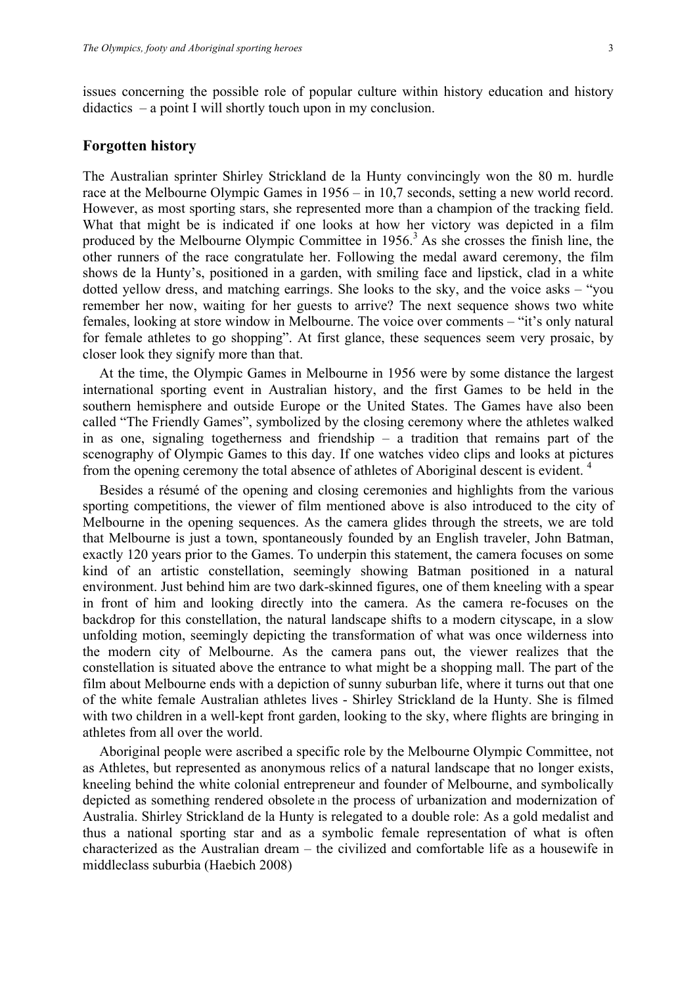issues concerning the possible role of popular culture within history education and history didactics – a point I will shortly touch upon in my conclusion.

# **Forgotten history**

The Australian sprinter Shirley Strickland de la Hunty convincingly won the 80 m. hurdle race at the Melbourne Olympic Games in 1956 – in 10,7 seconds, setting a new world record. However, as most sporting stars, she represented more than a champion of the tracking field. What that might be is indicated if one looks at how her victory was depicted in a film produced by the Melbourne Olympic Committee in  $1956<sup>3</sup>$  As she crosses the finish line, the other runners of the race congratulate her. Following the medal award ceremony, the film shows de la Hunty's, positioned in a garden, with smiling face and lipstick, clad in a white dotted yellow dress, and matching earrings. She looks to the sky, and the voice asks – "you remember her now, waiting for her guests to arrive? The next sequence shows two white females, looking at store window in Melbourne. The voice over comments – "it's only natural for female athletes to go shopping". At first glance, these sequences seem very prosaic, by closer look they signify more than that.

At the time, the Olympic Games in Melbourne in 1956 were by some distance the largest international sporting event in Australian history, and the first Games to be held in the southern hemisphere and outside Europe or the United States. The Games have also been called "The Friendly Games", symbolized by the closing ceremony where the athletes walked in as one, signaling togetherness and friendship – a tradition that remains part of the scenography of Olympic Games to this day. If one watches video clips and looks at pictures from the opening ceremony the total absence of athletes of Aboriginal descent is evident. 4

Besides a résumé of the opening and closing ceremonies and highlights from the various sporting competitions, the viewer of film mentioned above is also introduced to the city of Melbourne in the opening sequences. As the camera glides through the streets, we are told that Melbourne is just a town, spontaneously founded by an English traveler, John Batman, exactly 120 years prior to the Games. To underpin this statement, the camera focuses on some kind of an artistic constellation, seemingly showing Batman positioned in a natural environment. Just behind him are two dark-skinned figures, one of them kneeling with a spear in front of him and looking directly into the camera. As the camera re-focuses on the backdrop for this constellation, the natural landscape shifts to a modern cityscape, in a slow unfolding motion, seemingly depicting the transformation of what was once wilderness into the modern city of Melbourne. As the camera pans out, the viewer realizes that the constellation is situated above the entrance to what might be a shopping mall. The part of the film about Melbourne ends with a depiction of sunny suburban life, where it turns out that one of the white female Australian athletes lives - Shirley Strickland de la Hunty. She is filmed with two children in a well-kept front garden, looking to the sky, where flights are bringing in athletes from all over the world.

Aboriginal people were ascribed a specific role by the Melbourne Olympic Committee, not as Athletes, but represented as anonymous relics of a natural landscape that no longer exists, kneeling behind the white colonial entrepreneur and founder of Melbourne, and symbolically depicted as something rendered obsolete in the process of urbanization and modernization of Australia. Shirley Strickland de la Hunty is relegated to a double role: As a gold medalist and thus a national sporting star and as a symbolic female representation of what is often characterized as the Australian dream – the civilized and comfortable life as a housewife in middleclass suburbia (Haebich 2008)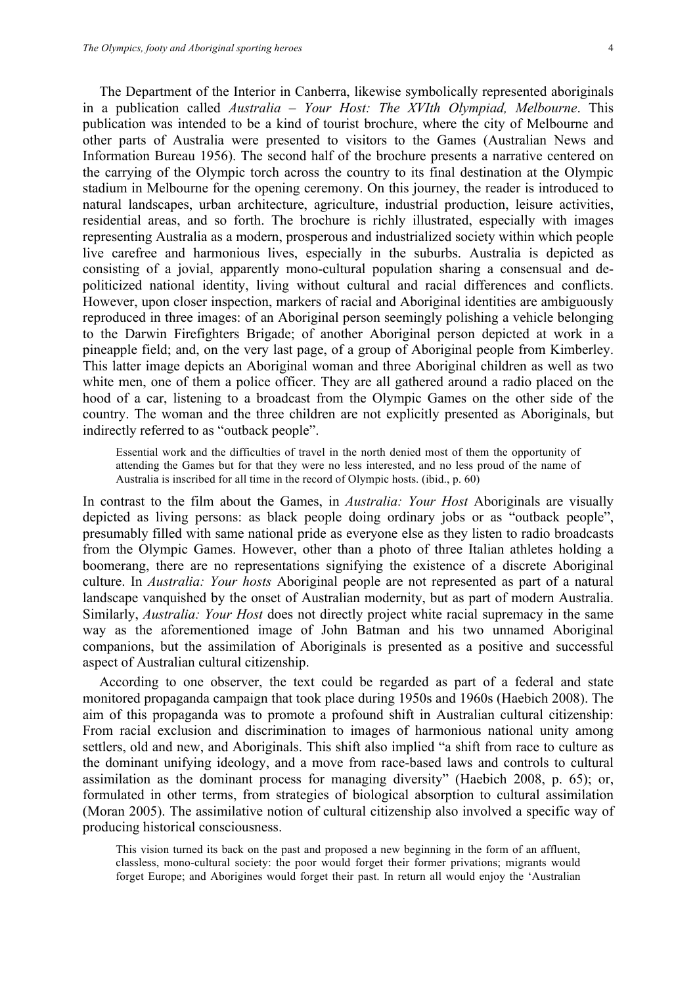The Department of the Interior in Canberra, likewise symbolically represented aboriginals in a publication called *Australia – Your Host: The XVIth Olympiad, Melbourne*. This publication was intended to be a kind of tourist brochure, where the city of Melbourne and other parts of Australia were presented to visitors to the Games (Australian News and Information Bureau 1956). The second half of the brochure presents a narrative centered on the carrying of the Olympic torch across the country to its final destination at the Olympic stadium in Melbourne for the opening ceremony. On this journey, the reader is introduced to natural landscapes, urban architecture, agriculture, industrial production, leisure activities, residential areas, and so forth. The brochure is richly illustrated, especially with images representing Australia as a modern, prosperous and industrialized society within which people live carefree and harmonious lives, especially in the suburbs. Australia is depicted as consisting of a jovial, apparently mono-cultural population sharing a consensual and depoliticized national identity, living without cultural and racial differences and conflicts. However, upon closer inspection, markers of racial and Aboriginal identities are ambiguously reproduced in three images: of an Aboriginal person seemingly polishing a vehicle belonging to the Darwin Firefighters Brigade; of another Aboriginal person depicted at work in a pineapple field; and, on the very last page, of a group of Aboriginal people from Kimberley. This latter image depicts an Aboriginal woman and three Aboriginal children as well as two white men, one of them a police officer. They are all gathered around a radio placed on the hood of a car, listening to a broadcast from the Olympic Games on the other side of the country. The woman and the three children are not explicitly presented as Aboriginals, but indirectly referred to as "outback people".

Essential work and the difficulties of travel in the north denied most of them the opportunity of attending the Games but for that they were no less interested, and no less proud of the name of Australia is inscribed for all time in the record of Olympic hosts. (ibid., p. 60)

In contrast to the film about the Games, in *Australia: Your Host* Aboriginals are visually depicted as living persons: as black people doing ordinary jobs or as "outback people", presumably filled with same national pride as everyone else as they listen to radio broadcasts from the Olympic Games. However, other than a photo of three Italian athletes holding a boomerang, there are no representations signifying the existence of a discrete Aboriginal culture. In *Australia: Your hosts* Aboriginal people are not represented as part of a natural landscape vanquished by the onset of Australian modernity, but as part of modern Australia. Similarly, *Australia: Your Host* does not directly project white racial supremacy in the same way as the aforementioned image of John Batman and his two unnamed Aboriginal companions, but the assimilation of Aboriginals is presented as a positive and successful aspect of Australian cultural citizenship.

According to one observer, the text could be regarded as part of a federal and state monitored propaganda campaign that took place during 1950s and 1960s (Haebich 2008). The aim of this propaganda was to promote a profound shift in Australian cultural citizenship: From racial exclusion and discrimination to images of harmonious national unity among settlers, old and new, and Aboriginals. This shift also implied "a shift from race to culture as the dominant unifying ideology, and a move from race-based laws and controls to cultural assimilation as the dominant process for managing diversity" (Haebich 2008, p. 65); or, formulated in other terms, from strategies of biological absorption to cultural assimilation (Moran 2005). The assimilative notion of cultural citizenship also involved a specific way of producing historical consciousness.

This vision turned its back on the past and proposed a new beginning in the form of an affluent, classless, mono-cultural society: the poor would forget their former privations; migrants would forget Europe; and Aborigines would forget their past. In return all would enjoy the 'Australian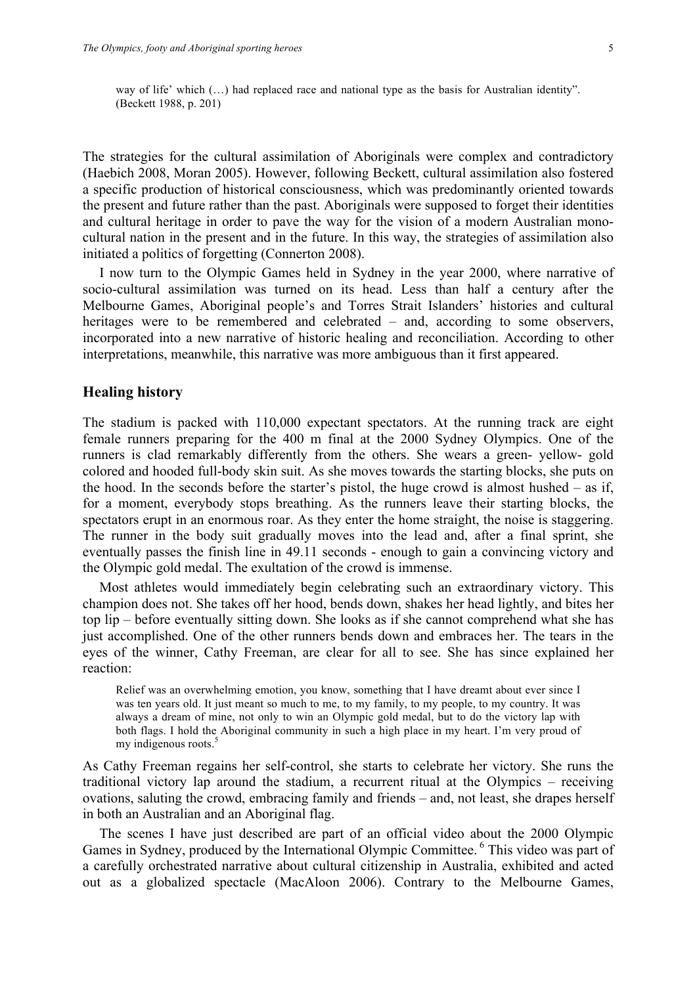way of life' which  $(...)$  had replaced race and national type as the basis for Australian identity". (Beckett 1988, p. 201)

The strategies for the cultural assimilation of Aboriginals were complex and contradictory (Haebich 2008, Moran 2005). However, following Beckett, cultural assimilation also fostered a specific production of historical consciousness, which was predominantly oriented towards the present and future rather than the past. Aboriginals were supposed to forget their identities and cultural heritage in order to pave the way for the vision of a modern Australian monocultural nation in the present and in the future. In this way, the strategies of assimilation also initiated a politics of forgetting (Connerton 2008).

I now turn to the Olympic Games held in Sydney in the year 2000, where narrative of socio-cultural assimilation was turned on its head. Less than half a century after the Melbourne Games, Aboriginal people's and Torres Strait Islanders' histories and cultural heritages were to be remembered and celebrated – and, according to some observers, incorporated into a new narrative of historic healing and reconciliation. According to other interpretations, meanwhile, this narrative was more ambiguous than it first appeared.

# **Healing history**

The stadium is packed with 110,000 expectant spectators. At the running track are eight female runners preparing for the 400 m final at the 2000 Sydney Olympics. One of the runners is clad remarkably differently from the others. She wears a green- yellow- gold colored and hooded full-body skin suit. As she moves towards the starting blocks, she puts on the hood. In the seconds before the starter's pistol, the huge crowd is almost hushed – as if, for a moment, everybody stops breathing. As the runners leave their starting blocks, the spectators erupt in an enormous roar. As they enter the home straight, the noise is staggering. The runner in the body suit gradually moves into the lead and, after a final sprint, she eventually passes the finish line in 49.11 seconds - enough to gain a convincing victory and the Olympic gold medal. The exultation of the crowd is immense.

Most athletes would immediately begin celebrating such an extraordinary victory. This champion does not. She takes off her hood, bends down, shakes her head lightly, and bites her top lip – before eventually sitting down. She looks as if she cannot comprehend what she has just accomplished. One of the other runners bends down and embraces her. The tears in the eyes of the winner, Cathy Freeman, are clear for all to see. She has since explained her reaction:

Relief was an overwhelming emotion, you know, something that I have dreamt about ever since I was ten years old. It just meant so much to me, to my family, to my people, to my country. It was always a dream of mine, not only to win an Olympic gold medal, but to do the victory lap with both flags. I hold the Aboriginal community in such a high place in my heart. I'm very proud of my indigenous roots.<sup>5</sup>

As Cathy Freeman regains her self-control, she starts to celebrate her victory. She runs the traditional victory lap around the stadium, a recurrent ritual at the Olympics – receiving ovations, saluting the crowd, embracing family and friends – and, not least, she drapes herself in both an Australian and an Aboriginal flag.

The scenes I have just described are part of an official video about the 2000 Olympic Games in Sydney, produced by the International Olympic Committee. <sup>6</sup> This video was part of a carefully orchestrated narrative about cultural citizenship in Australia, exhibited and acted out as a globalized spectacle (MacAloon 2006). Contrary to the Melbourne Games,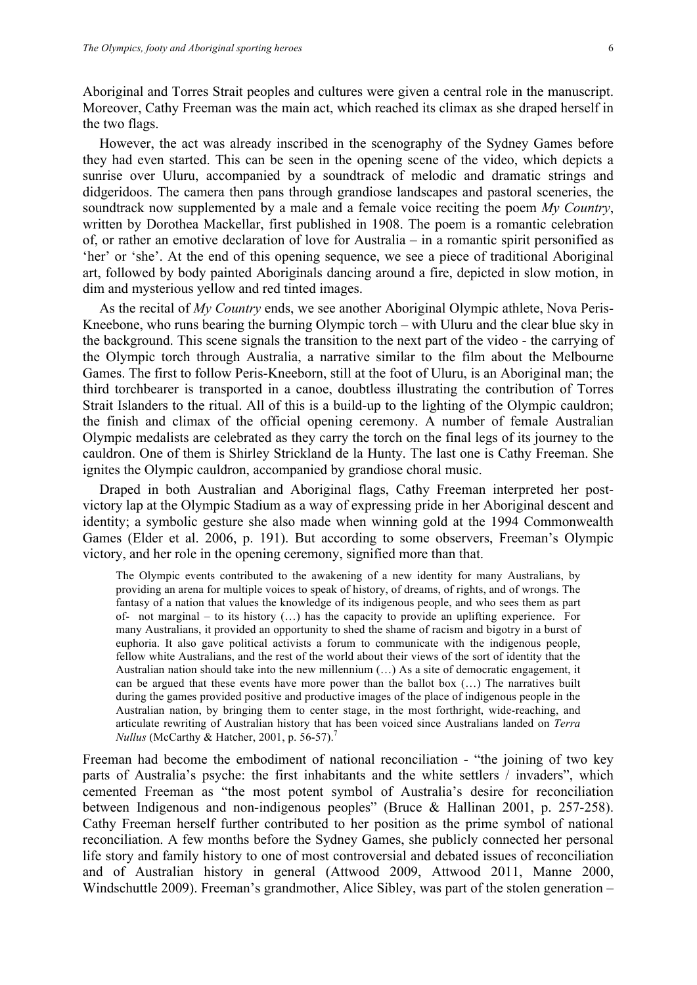Aboriginal and Torres Strait peoples and cultures were given a central role in the manuscript. Moreover, Cathy Freeman was the main act, which reached its climax as she draped herself in the two flags.

However, the act was already inscribed in the scenography of the Sydney Games before they had even started. This can be seen in the opening scene of the video, which depicts a sunrise over Uluru, accompanied by a soundtrack of melodic and dramatic strings and didgeridoos. The camera then pans through grandiose landscapes and pastoral sceneries, the soundtrack now supplemented by a male and a female voice reciting the poem *My Country*, written by Dorothea Mackellar, first published in 1908. The poem is a romantic celebration of, or rather an emotive declaration of love for Australia – in a romantic spirit personified as 'her' or 'she'. At the end of this opening sequence, we see a piece of traditional Aboriginal art, followed by body painted Aboriginals dancing around a fire, depicted in slow motion, in dim and mysterious yellow and red tinted images.

As the recital of *My Country* ends, we see another Aboriginal Olympic athlete, Nova Peris-Kneebone, who runs bearing the burning Olympic torch – with Uluru and the clear blue sky in the background. This scene signals the transition to the next part of the video - the carrying of the Olympic torch through Australia, a narrative similar to the film about the Melbourne Games. The first to follow Peris-Kneeborn, still at the foot of Uluru, is an Aboriginal man; the third torchbearer is transported in a canoe, doubtless illustrating the contribution of Torres Strait Islanders to the ritual. All of this is a build-up to the lighting of the Olympic cauldron; the finish and climax of the official opening ceremony. A number of female Australian Olympic medalists are celebrated as they carry the torch on the final legs of its journey to the cauldron. One of them is Shirley Strickland de la Hunty. The last one is Cathy Freeman. She ignites the Olympic cauldron, accompanied by grandiose choral music.

Draped in both Australian and Aboriginal flags, Cathy Freeman interpreted her postvictory lap at the Olympic Stadium as a way of expressing pride in her Aboriginal descent and identity; a symbolic gesture she also made when winning gold at the 1994 Commonwealth Games (Elder et al. 2006, p. 191). But according to some observers, Freeman's Olympic victory, and her role in the opening ceremony, signified more than that.

The Olympic events contributed to the awakening of a new identity for many Australians, by providing an arena for multiple voices to speak of history, of dreams, of rights, and of wrongs. The fantasy of a nation that values the knowledge of its indigenous people, and who sees them as part of- not marginal – to its history  $(...)$  has the capacity to provide an uplifting experience. For many Australians, it provided an opportunity to shed the shame of racism and bigotry in a burst of euphoria. It also gave political activists a forum to communicate with the indigenous people, fellow white Australians, and the rest of the world about their views of the sort of identity that the Australian nation should take into the new millennium (…) As a site of democratic engagement, it can be argued that these events have more power than the ballot box  $(...)$  The narratives built during the games provided positive and productive images of the place of indigenous people in the Australian nation, by bringing them to center stage, in the most forthright, wide-reaching, and articulate rewriting of Australian history that has been voiced since Australians landed on *Terra Nullus* (McCarthy & Hatcher, 2001, p. 56-57).<sup>7</sup>

Freeman had become the embodiment of national reconciliation - "the joining of two key parts of Australia's psyche: the first inhabitants and the white settlers / invaders", which cemented Freeman as "the most potent symbol of Australia's desire for reconciliation between Indigenous and non-indigenous peoples" (Bruce & Hallinan 2001, p. 257-258). Cathy Freeman herself further contributed to her position as the prime symbol of national reconciliation. A few months before the Sydney Games, she publicly connected her personal life story and family history to one of most controversial and debated issues of reconciliation and of Australian history in general (Attwood 2009, Attwood 2011, Manne 2000, Windschuttle 2009). Freeman's grandmother, Alice Sibley, was part of the stolen generation –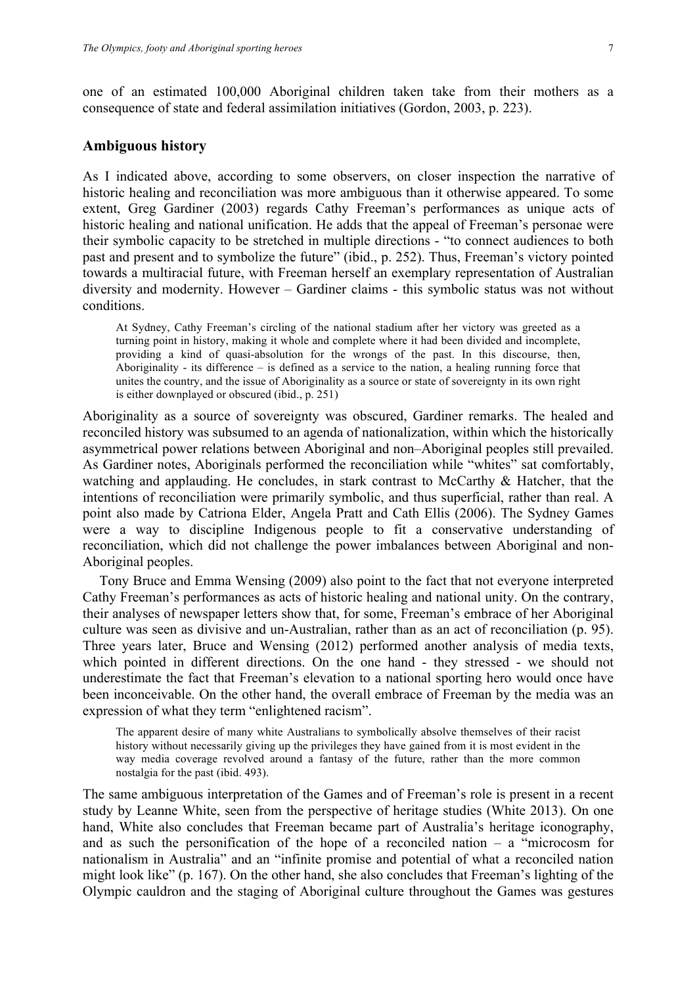one of an estimated 100,000 Aboriginal children taken take from their mothers as a consequence of state and federal assimilation initiatives (Gordon, 2003, p. 223).

# **Ambiguous history**

As I indicated above, according to some observers, on closer inspection the narrative of historic healing and reconciliation was more ambiguous than it otherwise appeared. To some extent, Greg Gardiner (2003) regards Cathy Freeman's performances as unique acts of historic healing and national unification. He adds that the appeal of Freeman's personae were their symbolic capacity to be stretched in multiple directions - "to connect audiences to both past and present and to symbolize the future" (ibid., p. 252). Thus, Freeman's victory pointed towards a multiracial future, with Freeman herself an exemplary representation of Australian diversity and modernity. However – Gardiner claims - this symbolic status was not without conditions.

At Sydney, Cathy Freeman's circling of the national stadium after her victory was greeted as a turning point in history, making it whole and complete where it had been divided and incomplete, providing a kind of quasi-absolution for the wrongs of the past. In this discourse, then, Aboriginality - its difference – is defined as a service to the nation, a healing running force that unites the country, and the issue of Aboriginality as a source or state of sovereignty in its own right is either downplayed or obscured (ibid., p. 251)

Aboriginality as a source of sovereignty was obscured, Gardiner remarks. The healed and reconciled history was subsumed to an agenda of nationalization, within which the historically asymmetrical power relations between Aboriginal and non–Aboriginal peoples still prevailed. As Gardiner notes, Aboriginals performed the reconciliation while "whites" sat comfortably, watching and applauding. He concludes, in stark contrast to McCarthy & Hatcher, that the intentions of reconciliation were primarily symbolic, and thus superficial, rather than real. A point also made by Catriona Elder, Angela Pratt and Cath Ellis (2006). The Sydney Games were a way to discipline Indigenous people to fit a conservative understanding of reconciliation, which did not challenge the power imbalances between Aboriginal and non-Aboriginal peoples.

Tony Bruce and Emma Wensing (2009) also point to the fact that not everyone interpreted Cathy Freeman's performances as acts of historic healing and national unity. On the contrary, their analyses of newspaper letters show that, for some, Freeman's embrace of her Aboriginal culture was seen as divisive and un-Australian, rather than as an act of reconciliation (p. 95). Three years later, Bruce and Wensing (2012) performed another analysis of media texts, which pointed in different directions. On the one hand - they stressed - we should not underestimate the fact that Freeman's elevation to a national sporting hero would once have been inconceivable. On the other hand, the overall embrace of Freeman by the media was an expression of what they term "enlightened racism".

The apparent desire of many white Australians to symbolically absolve themselves of their racist history without necessarily giving up the privileges they have gained from it is most evident in the way media coverage revolved around a fantasy of the future, rather than the more common nostalgia for the past (ibid. 493).

The same ambiguous interpretation of the Games and of Freeman's role is present in a recent study by Leanne White, seen from the perspective of heritage studies (White 2013). On one hand, White also concludes that Freeman became part of Australia's heritage iconography, and as such the personification of the hope of a reconciled nation  $-$  a "microcosm for nationalism in Australia" and an "infinite promise and potential of what a reconciled nation might look like" (p. 167). On the other hand, she also concludes that Freeman's lighting of the Olympic cauldron and the staging of Aboriginal culture throughout the Games was gestures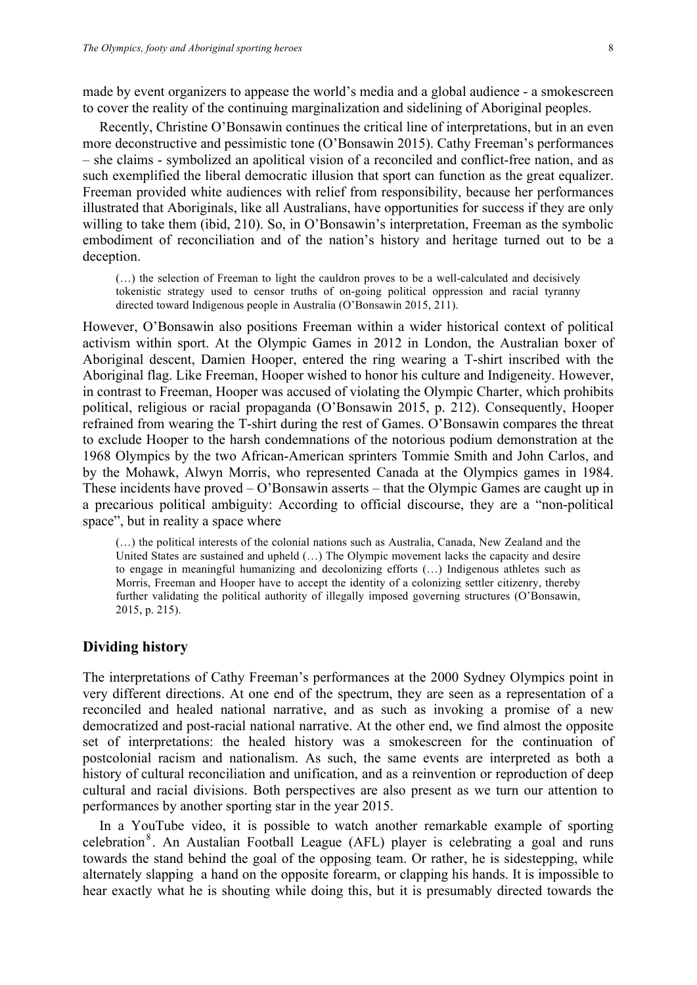made by event organizers to appease the world's media and a global audience - a smokescreen to cover the reality of the continuing marginalization and sidelining of Aboriginal peoples.

Recently, Christine O'Bonsawin continues the critical line of interpretations, but in an even more deconstructive and pessimistic tone (O'Bonsawin 2015). Cathy Freeman's performances – she claims - symbolized an apolitical vision of a reconciled and conflict-free nation, and as such exemplified the liberal democratic illusion that sport can function as the great equalizer. Freeman provided white audiences with relief from responsibility, because her performances illustrated that Aboriginals, like all Australians, have opportunities for success if they are only willing to take them (ibid, 210). So, in O'Bonsawin's interpretation, Freeman as the symbolic embodiment of reconciliation and of the nation's history and heritage turned out to be a deception.

(…) the selection of Freeman to light the cauldron proves to be a well-calculated and decisively tokenistic strategy used to censor truths of on-going political oppression and racial tyranny directed toward Indigenous people in Australia (O'Bonsawin 2015, 211).

However, O'Bonsawin also positions Freeman within a wider historical context of political activism within sport. At the Olympic Games in 2012 in London, the Australian boxer of Aboriginal descent, Damien Hooper, entered the ring wearing a T-shirt inscribed with the Aboriginal flag. Like Freeman, Hooper wished to honor his culture and Indigeneity. However, in contrast to Freeman, Hooper was accused of violating the Olympic Charter, which prohibits political, religious or racial propaganda (O'Bonsawin 2015, p. 212). Consequently, Hooper refrained from wearing the T-shirt during the rest of Games. O'Bonsawin compares the threat to exclude Hooper to the harsh condemnations of the notorious podium demonstration at the 1968 Olympics by the two African-American sprinters Tommie Smith and John Carlos, and by the Mohawk, Alwyn Morris, who represented Canada at the Olympics games in 1984. These incidents have proved – O'Bonsawin asserts – that the Olympic Games are caught up in a precarious political ambiguity: According to official discourse, they are a "non-political space", but in reality a space where

(…) the political interests of the colonial nations such as Australia, Canada, New Zealand and the United States are sustained and upheld (…) The Olympic movement lacks the capacity and desire to engage in meaningful humanizing and decolonizing efforts (…) Indigenous athletes such as Morris, Freeman and Hooper have to accept the identity of a colonizing settler citizenry, thereby further validating the political authority of illegally imposed governing structures (O'Bonsawin, 2015, p. 215).

# **Dividing history**

The interpretations of Cathy Freeman's performances at the 2000 Sydney Olympics point in very different directions. At one end of the spectrum, they are seen as a representation of a reconciled and healed national narrative, and as such as invoking a promise of a new democratized and post-racial national narrative. At the other end, we find almost the opposite set of interpretations: the healed history was a smokescreen for the continuation of postcolonial racism and nationalism. As such, the same events are interpreted as both a history of cultural reconciliation and unification, and as a reinvention or reproduction of deep cultural and racial divisions. Both perspectives are also present as we turn our attention to performances by another sporting star in the year 2015.

In a YouTube video, it is possible to watch another remarkable example of sporting celebration<sup>8</sup>. An Austalian Football League (AFL) player is celebrating a goal and runs towards the stand behind the goal of the opposing team. Or rather, he is sidestepping, while alternately slapping a hand on the opposite forearm, or clapping his hands. It is impossible to hear exactly what he is shouting while doing this, but it is presumably directed towards the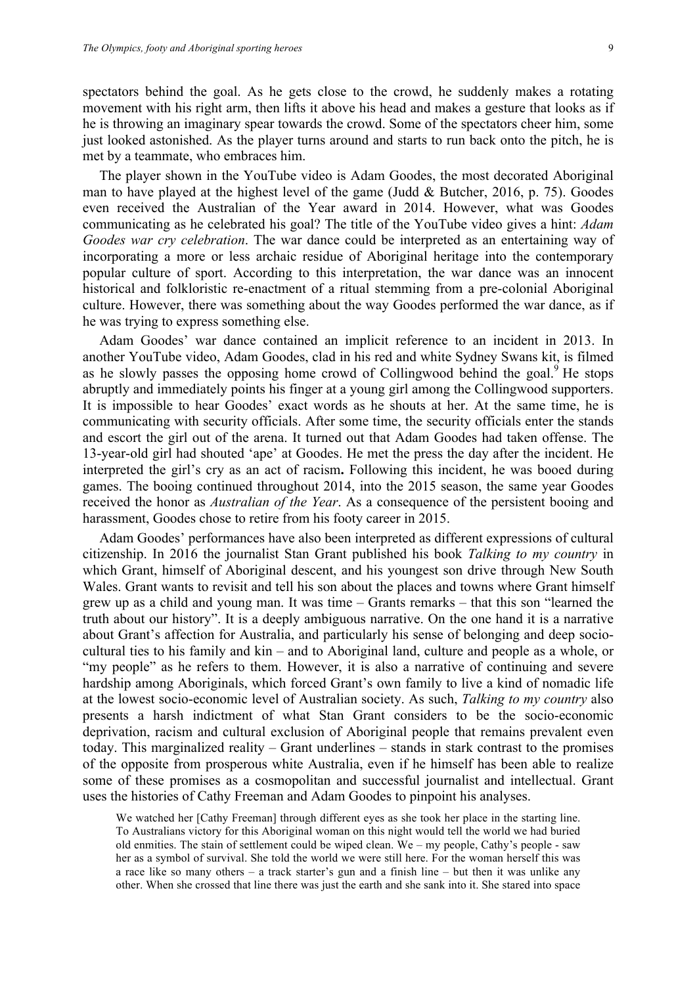spectators behind the goal. As he gets close to the crowd, he suddenly makes a rotating movement with his right arm, then lifts it above his head and makes a gesture that looks as if he is throwing an imaginary spear towards the crowd. Some of the spectators cheer him, some just looked astonished. As the player turns around and starts to run back onto the pitch, he is met by a teammate, who embraces him.

The player shown in the YouTube video is Adam Goodes, the most decorated Aboriginal man to have played at the highest level of the game (Judd & Butcher, 2016, p. 75). Goodes even received the Australian of the Year award in 2014. However, what was Goodes communicating as he celebrated his goal? The title of the YouTube video gives a hint: *Adam Goodes war cry celebration*. The war dance could be interpreted as an entertaining way of incorporating a more or less archaic residue of Aboriginal heritage into the contemporary popular culture of sport. According to this interpretation, the war dance was an innocent historical and folkloristic re-enactment of a ritual stemming from a pre-colonial Aboriginal culture. However, there was something about the way Goodes performed the war dance, as if he was trying to express something else.

Adam Goodes' war dance contained an implicit reference to an incident in 2013. In another YouTube video, Adam Goodes, clad in his red and white Sydney Swans kit, is filmed as he slowly passes the opposing home crowd of Collingwood behind the goal.  $9$  He stops abruptly and immediately points his finger at a young girl among the Collingwood supporters. It is impossible to hear Goodes' exact words as he shouts at her. At the same time, he is communicating with security officials. After some time, the security officials enter the stands and escort the girl out of the arena. It turned out that Adam Goodes had taken offense. The 13-year-old girl had shouted 'ape' at Goodes. He met the press the day after the incident. He interpreted the girl's cry as an act of racism**.** Following this incident, he was booed during games. The booing continued throughout 2014, into the 2015 season, the same year Goodes received the honor as *Australian of the Year*. As a consequence of the persistent booing and harassment, Goodes chose to retire from his footy career in 2015.

Adam Goodes' performances have also been interpreted as different expressions of cultural citizenship. In 2016 the journalist Stan Grant published his book *Talking to my country* in which Grant, himself of Aboriginal descent, and his youngest son drive through New South Wales. Grant wants to revisit and tell his son about the places and towns where Grant himself grew up as a child and young man. It was time – Grants remarks – that this son "learned the truth about our history". It is a deeply ambiguous narrative. On the one hand it is a narrative about Grant's affection for Australia, and particularly his sense of belonging and deep sociocultural ties to his family and kin – and to Aboriginal land, culture and people as a whole, or "my people" as he refers to them. However, it is also a narrative of continuing and severe hardship among Aboriginals, which forced Grant's own family to live a kind of nomadic life at the lowest socio-economic level of Australian society. As such, *Talking to my country* also presents a harsh indictment of what Stan Grant considers to be the socio-economic deprivation, racism and cultural exclusion of Aboriginal people that remains prevalent even today. This marginalized reality – Grant underlines – stands in stark contrast to the promises of the opposite from prosperous white Australia, even if he himself has been able to realize some of these promises as a cosmopolitan and successful journalist and intellectual. Grant uses the histories of Cathy Freeman and Adam Goodes to pinpoint his analyses.

We watched her [Cathy Freeman] through different eyes as she took her place in the starting line. To Australians victory for this Aboriginal woman on this night would tell the world we had buried old enmities. The stain of settlement could be wiped clean. We – my people, Cathy's people - saw her as a symbol of survival. She told the world we were still here. For the woman herself this was a race like so many others – a track starter's gun and a finish line – but then it was unlike any other. When she crossed that line there was just the earth and she sank into it. She stared into space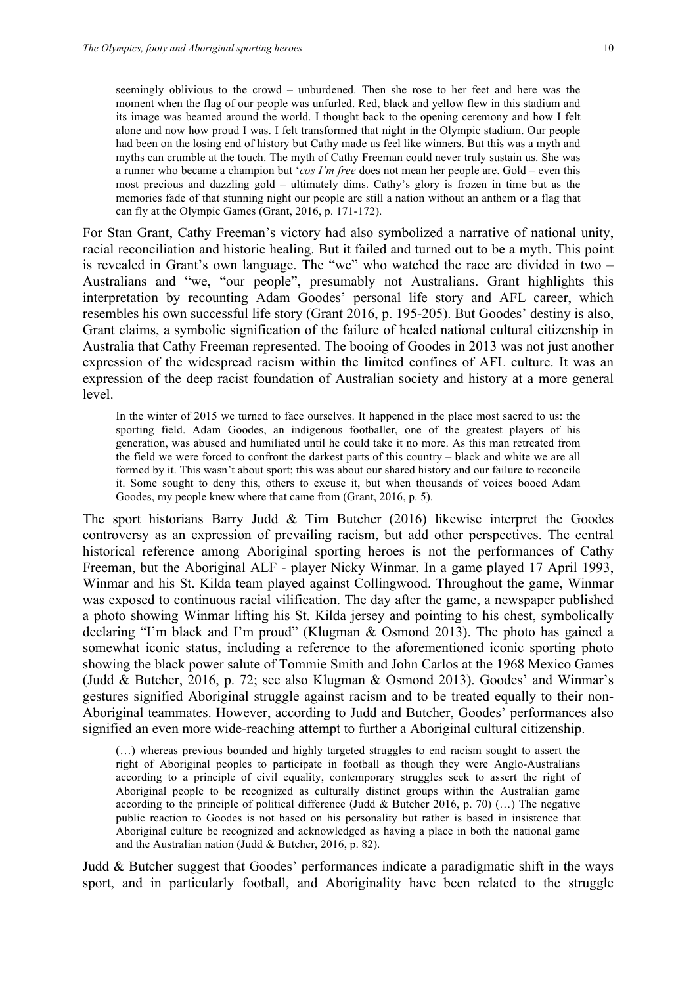can fly at the Olympic Games (Grant, 2016, p. 171-172).

seemingly oblivious to the crowd – unburdened. Then she rose to her feet and here was the moment when the flag of our people was unfurled. Red, black and yellow flew in this stadium and its image was beamed around the world. I thought back to the opening ceremony and how I felt alone and now how proud I was. I felt transformed that night in the Olympic stadium. Our people had been on the losing end of history but Cathy made us feel like winners. But this was a myth and myths can crumble at the touch. The myth of Cathy Freeman could never truly sustain us. She was a runner who became a champion but '*cos I'm free* does not mean her people are. Gold – even this most precious and dazzling gold – ultimately dims. Cathy's glory is frozen in time but as the

For Stan Grant, Cathy Freeman's victory had also symbolized a narrative of national unity, racial reconciliation and historic healing. But it failed and turned out to be a myth. This point is revealed in Grant's own language. The "we" who watched the race are divided in two – Australians and "we, "our people", presumably not Australians. Grant highlights this interpretation by recounting Adam Goodes' personal life story and AFL career, which resembles his own successful life story (Grant 2016, p. 195-205). But Goodes' destiny is also, Grant claims, a symbolic signification of the failure of healed national cultural citizenship in Australia that Cathy Freeman represented. The booing of Goodes in 2013 was not just another expression of the widespread racism within the limited confines of AFL culture. It was an expression of the deep racist foundation of Australian society and history at a more general level.

memories fade of that stunning night our people are still a nation without an anthem or a flag that

In the winter of 2015 we turned to face ourselves. It happened in the place most sacred to us: the sporting field. Adam Goodes, an indigenous footballer, one of the greatest players of his generation, was abused and humiliated until he could take it no more. As this man retreated from the field we were forced to confront the darkest parts of this country – black and white we are all formed by it. This wasn't about sport; this was about our shared history and our failure to reconcile it. Some sought to deny this, others to excuse it, but when thousands of voices booed Adam Goodes, my people knew where that came from (Grant, 2016, p. 5).

The sport historians Barry Judd & Tim Butcher (2016) likewise interpret the Goodes controversy as an expression of prevailing racism, but add other perspectives. The central historical reference among Aboriginal sporting heroes is not the performances of Cathy Freeman, but the Aboriginal ALF - player Nicky Winmar. In a game played 17 April 1993, Winmar and his St. Kilda team played against Collingwood. Throughout the game, Winmar was exposed to continuous racial vilification. The day after the game, a newspaper published a photo showing Winmar lifting his St. Kilda jersey and pointing to his chest, symbolically declaring "I'm black and I'm proud" (Klugman & Osmond 2013). The photo has gained a somewhat iconic status, including a reference to the aforementioned iconic sporting photo showing the black power salute of Tommie Smith and John Carlos at the 1968 Mexico Games (Judd & Butcher, 2016, p. 72; see also Klugman & Osmond 2013). Goodes' and Winmar's gestures signified Aboriginal struggle against racism and to be treated equally to their non-Aboriginal teammates. However, according to Judd and Butcher, Goodes' performances also signified an even more wide-reaching attempt to further a Aboriginal cultural citizenship.

(…) whereas previous bounded and highly targeted struggles to end racism sought to assert the right of Aboriginal peoples to participate in football as though they were Anglo-Australians according to a principle of civil equality, contemporary struggles seek to assert the right of Aboriginal people to be recognized as culturally distinct groups within the Australian game according to the principle of political difference (Judd & Butcher 2016, p. 70)  $(...)$  The negative public reaction to Goodes is not based on his personality but rather is based in insistence that Aboriginal culture be recognized and acknowledged as having a place in both the national game and the Australian nation (Judd & Butcher, 2016, p. 82).

Judd & Butcher suggest that Goodes' performances indicate a paradigmatic shift in the ways sport, and in particularly football, and Aboriginality have been related to the struggle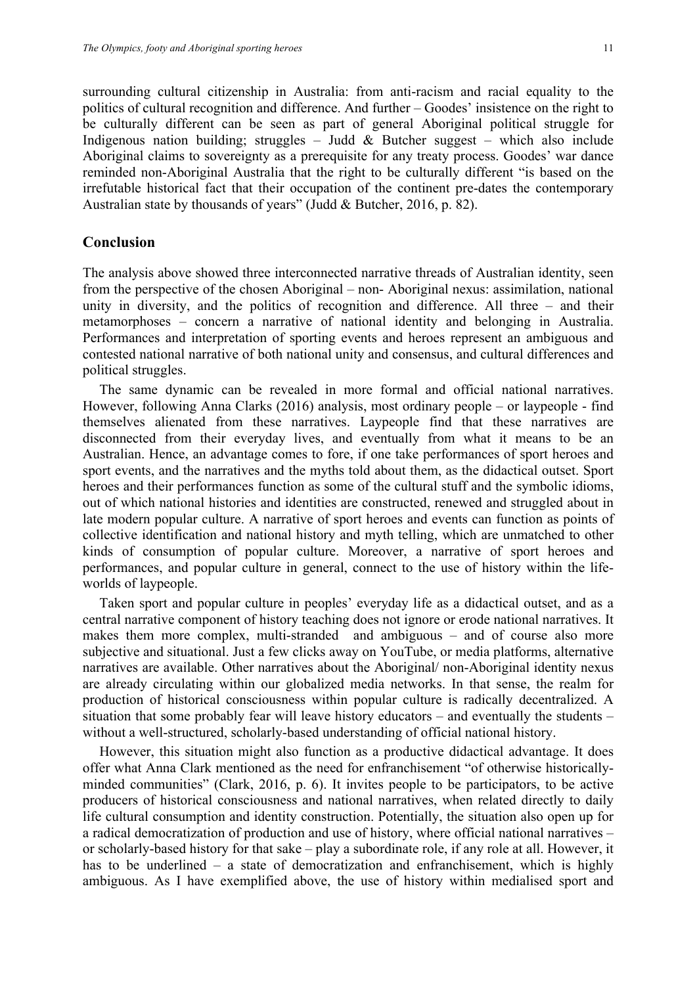surrounding cultural citizenship in Australia: from anti-racism and racial equality to the politics of cultural recognition and difference. And further – Goodes' insistence on the right to be culturally different can be seen as part of general Aboriginal political struggle for Indigenous nation building; struggles – Judd  $\&$  Butcher suggest – which also include Aboriginal claims to sovereignty as a prerequisite for any treaty process. Goodes' war dance reminded non-Aboriginal Australia that the right to be culturally different "is based on the irrefutable historical fact that their occupation of the continent pre-dates the contemporary Australian state by thousands of years" (Judd & Butcher, 2016, p. 82).

## **Conclusion**

The analysis above showed three interconnected narrative threads of Australian identity, seen from the perspective of the chosen Aboriginal – non- Aboriginal nexus: assimilation, national unity in diversity, and the politics of recognition and difference. All three – and their metamorphoses – concern a narrative of national identity and belonging in Australia. Performances and interpretation of sporting events and heroes represent an ambiguous and contested national narrative of both national unity and consensus, and cultural differences and political struggles.

The same dynamic can be revealed in more formal and official national narratives. However, following Anna Clarks (2016) analysis, most ordinary people – or laypeople - find themselves alienated from these narratives. Laypeople find that these narratives are disconnected from their everyday lives, and eventually from what it means to be an Australian. Hence, an advantage comes to fore, if one take performances of sport heroes and sport events, and the narratives and the myths told about them, as the didactical outset. Sport heroes and their performances function as some of the cultural stuff and the symbolic idioms, out of which national histories and identities are constructed, renewed and struggled about in late modern popular culture. A narrative of sport heroes and events can function as points of collective identification and national history and myth telling, which are unmatched to other kinds of consumption of popular culture. Moreover, a narrative of sport heroes and performances, and popular culture in general, connect to the use of history within the lifeworlds of laypeople.

Taken sport and popular culture in peoples' everyday life as a didactical outset, and as a central narrative component of history teaching does not ignore or erode national narratives. It makes them more complex, multi-stranded and ambiguous – and of course also more subjective and situational. Just a few clicks away on YouTube, or media platforms, alternative narratives are available. Other narratives about the Aboriginal/ non-Aboriginal identity nexus are already circulating within our globalized media networks. In that sense, the realm for production of historical consciousness within popular culture is radically decentralized. A situation that some probably fear will leave history educators – and eventually the students – without a well-structured, scholarly-based understanding of official national history.

However, this situation might also function as a productive didactical advantage. It does offer what Anna Clark mentioned as the need for enfranchisement "of otherwise historicallyminded communities" (Clark, 2016, p. 6). It invites people to be participators, to be active producers of historical consciousness and national narratives, when related directly to daily life cultural consumption and identity construction. Potentially, the situation also open up for a radical democratization of production and use of history, where official national narratives – or scholarly-based history for that sake – play a subordinate role, if any role at all. However, it has to be underlined – a state of democratization and enfranchisement, which is highly ambiguous. As I have exemplified above, the use of history within medialised sport and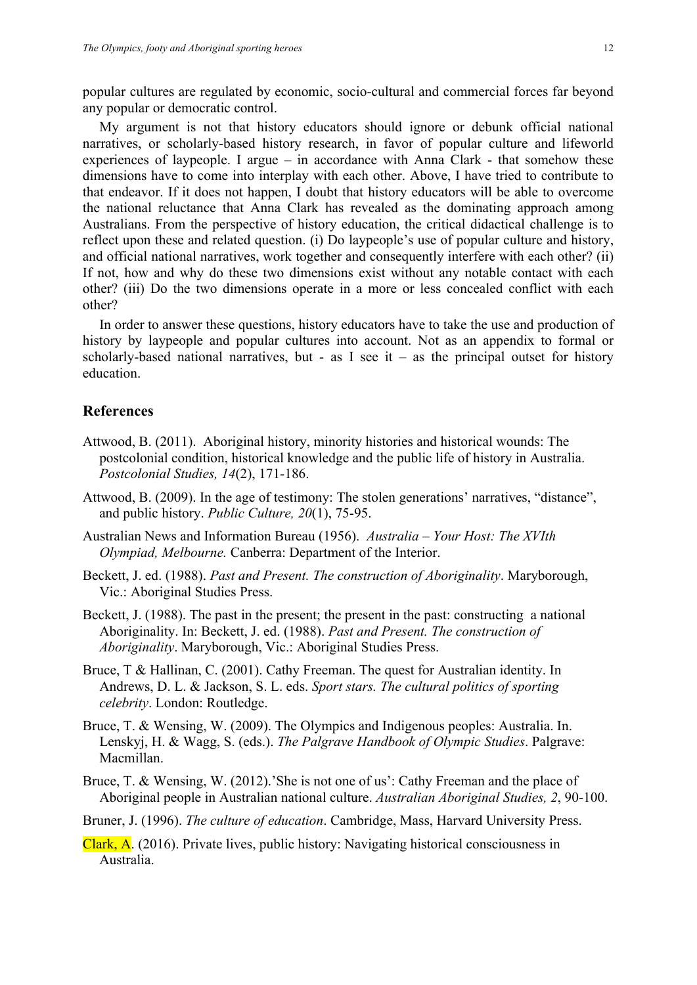popular cultures are regulated by economic, socio-cultural and commercial forces far beyond any popular or democratic control.

My argument is not that history educators should ignore or debunk official national narratives, or scholarly-based history research, in favor of popular culture and lifeworld experiences of laypeople. I argue – in accordance with Anna Clark - that somehow these dimensions have to come into interplay with each other. Above, I have tried to contribute to that endeavor. If it does not happen, I doubt that history educators will be able to overcome the national reluctance that Anna Clark has revealed as the dominating approach among Australians. From the perspective of history education, the critical didactical challenge is to reflect upon these and related question. (i) Do laypeople's use of popular culture and history, and official national narratives, work together and consequently interfere with each other? (ii) If not, how and why do these two dimensions exist without any notable contact with each other? (iii) Do the two dimensions operate in a more or less concealed conflict with each other?

In order to answer these questions, history educators have to take the use and production of history by laypeople and popular cultures into account. Not as an appendix to formal or scholarly-based national narratives, but - as I see it – as the principal outset for history education.

#### **References**

- Attwood, B. (2011). Aboriginal history, minority histories and historical wounds: The postcolonial condition, historical knowledge and the public life of history in Australia. *Postcolonial Studies, 14*(2), 171-186.
- Attwood, B. (2009). In the age of testimony: The stolen generations' narratives, "distance", and public history. *Public Culture, 20*(1), 75-95.
- Australian News and Information Bureau (1956). *Australia – Your Host: The XVIth Olympiad, Melbourne.* Canberra: Department of the Interior.
- Beckett, J. ed. (1988). *Past and Present. The construction of Aboriginality*. Maryborough, Vic.: Aboriginal Studies Press.
- Beckett, J. (1988). The past in the present; the present in the past: constructing a national Aboriginality. In: Beckett, J. ed. (1988). *Past and Present. The construction of Aboriginality*. Maryborough, Vic.: Aboriginal Studies Press.
- Bruce, T & Hallinan, C. (2001). Cathy Freeman. The quest for Australian identity. In Andrews, D. L. & Jackson, S. L. eds. *Sport stars. The cultural politics of sporting celebrity*. London: Routledge.
- Bruce, T. & Wensing, W. (2009). The Olympics and Indigenous peoples: Australia. In. Lenskyj, H. & Wagg, S. (eds.). *The Palgrave Handbook of Olympic Studies*. Palgrave: Macmillan.
- Bruce, T. & Wensing, W. (2012). She is not one of us': Cathy Freeman and the place of Aboriginal people in Australian national culture. *Australian Aboriginal Studies, 2*, 90-100.
- Bruner, J. (1996). *The culture of education*. Cambridge, Mass, Harvard University Press.
- Clark, A. (2016). Private lives, public history: Navigating historical consciousness in Australia.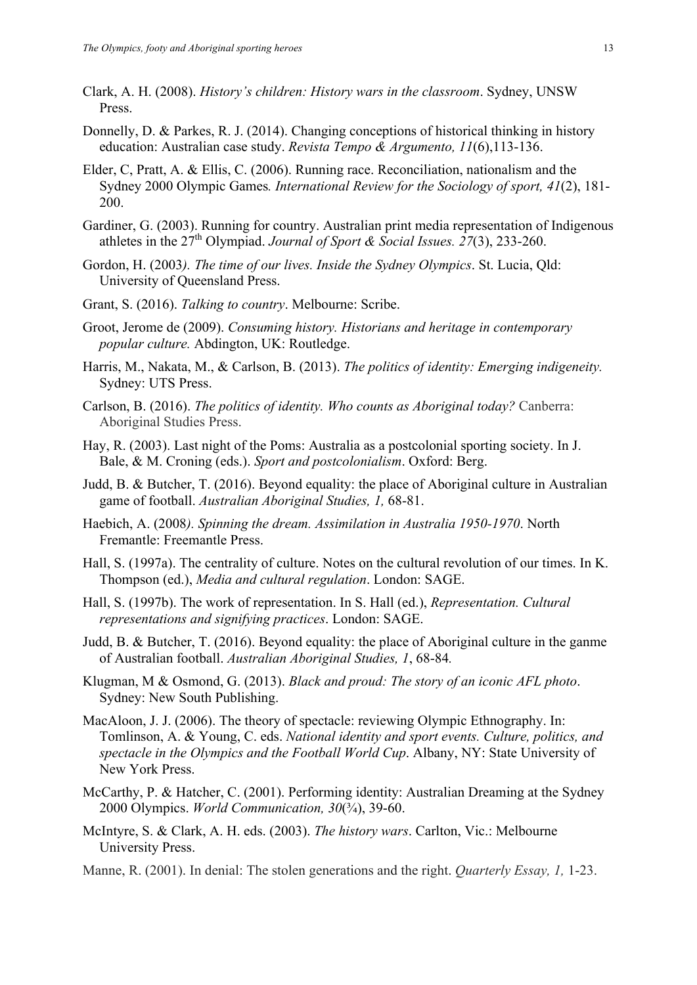- Clark, A. H. (2008). *History's children: History wars in the classroom*. Sydney, UNSW Press.
- Donnelly, D. & Parkes, R. J. (2014). Changing conceptions of historical thinking in history education: Australian case study. *Revista Tempo & Argumento, 11*(6),113-136.
- Elder, C, Pratt, A. & Ellis, C. (2006). Running race. Reconciliation, nationalism and the Sydney 2000 Olympic Games*. International Review for the Sociology of sport, 41*(2), 181- 200.
- Gardiner, G. (2003). Running for country. Australian print media representation of Indigenous athletes in the 27th Olympiad. *Journal of Sport & Social Issues. 27*(3), 233-260.
- Gordon, H. (2003*). The time of our lives. Inside the Sydney Olympics*. St. Lucia, Qld: University of Queensland Press.
- Grant, S. (2016). *Talking to country*. Melbourne: Scribe.
- Groot, Jerome de (2009). *Consuming history. Historians and heritage in contemporary popular culture.* Abdington, UK: Routledge.
- Harris, M., Nakata, M., & Carlson, B. (2013). *The politics of identity: Emerging indigeneity.* Sydney: UTS Press.
- Carlson, B. (2016). *The politics of identity. Who counts as Aboriginal today?* Canberra: Aboriginal Studies Press.
- Hay, R. (2003). Last night of the Poms: Australia as a postcolonial sporting society. In J. Bale, & M. Croning (eds.). *Sport and postcolonialism*. Oxford: Berg.
- Judd, B. & Butcher, T. (2016). Beyond equality: the place of Aboriginal culture in Australian game of football. *Australian Aboriginal Studies, 1,* 68-81.
- Haebich, A. (2008*). Spinning the dream. Assimilation in Australia 1950-1970*. North Fremantle: Freemantle Press.
- Hall, S. (1997a). The centrality of culture. Notes on the cultural revolution of our times. In K. Thompson (ed.), *Media and cultural regulation*. London: SAGE.
- Hall, S. (1997b). The work of representation. In S. Hall (ed.), *Representation. Cultural representations and signifying practices*. London: SAGE.
- Judd, B. & Butcher, T. (2016). Beyond equality: the place of Aboriginal culture in the ganme of Australian football. *Australian Aboriginal Studies, 1*, 68-84*.*
- Klugman, M & Osmond, G. (2013). *Black and proud: The story of an iconic AFL photo*. Sydney: New South Publishing.
- MacAloon, J. J. (2006). The theory of spectacle: reviewing Olympic Ethnography. In: Tomlinson, A. & Young, C. eds. *National identity and sport events. Culture, politics, and spectacle in the Olympics and the Football World Cup*. Albany, NY: State University of New York Press.
- McCarthy, P. & Hatcher, C. (2001). Performing identity: Australian Dreaming at the Sydney 2000 Olympics. *World Communication, 30*(¾), 39-60.
- McIntyre, S. & Clark, A. H. eds. (2003). *The history wars*. Carlton, Vic.: Melbourne University Press.
- Manne, R. (2001). In denial: The stolen generations and the right. *Quarterly Essay, 1,* 1-23.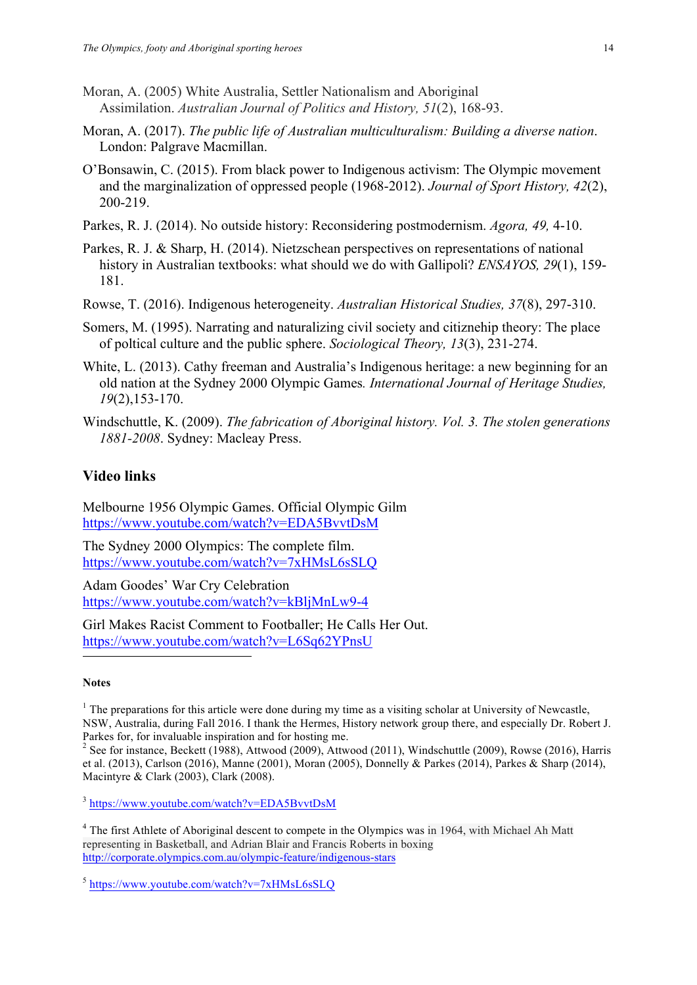- Moran, A. (2005) White Australia, Settler Nationalism and Aboriginal Assimilation. *Australian Journal of Politics and History, 51*(2), 168-93.
- Moran, A. (2017). *The public life of Australian multiculturalism: Building a diverse nation*. London: Palgrave Macmillan.
- O'Bonsawin, C. (2015). From black power to Indigenous activism: The Olympic movement and the marginalization of oppressed people (1968-2012). *Journal of Sport History, 42*(2), 200-219.
- Parkes, R. J. (2014). No outside history: Reconsidering postmodernism. *Agora, 49,* 4-10.
- Parkes, R. J. & Sharp, H. (2014). Nietzschean perspectives on representations of national history in Australian textbooks: what should we do with Gallipoli? *ENSAYOS, 29*(1), 159- 181.
- Rowse, T. (2016). Indigenous heterogeneity. *Australian Historical Studies, 37*(8), 297-310.
- Somers, M. (1995). Narrating and naturalizing civil society and citiznehip theory: The place of poltical culture and the public sphere. *Sociological Theory, 13*(3), 231-274.
- White, L. (2013). Cathy freeman and Australia's Indigenous heritage: a new beginning for an old nation at the Sydney 2000 Olympic Games*. International Journal of Heritage Studies, 19*(2),153-170.
- Windschuttle, K. (2009). *The fabrication of Aboriginal history. Vol. 3. The stolen generations 1881-2008*. Sydney: Macleay Press.

# **Video links**

Melbourne 1956 Olympic Games. Official Olympic Gilm https://www.youtube.com/watch?v=EDA5BvvtDsM

The Sydney 2000 Olympics: The complete film. https://www.youtube.com/watch?v=7xHMsL6sSLQ

Adam Goodes' War Cry Celebration https://www.youtube.com/watch?v=kBljMnLw9-4

Girl Makes Racist Comment to Footballer; He Calls Her Out. https://www.youtube.com/watch?v=L6Sq62YPnsU

#### **Notes**

 $\overline{a}$ 

 $1$ . The preparations for this article were done during my time as a visiting scholar at University of Newcastle. NSW, Australia, during Fall 2016. I thank the Hermes, History network group there, and especially Dr. Robert J.

<sup>2</sup> See for instance, Beckett (1988), Attwood (2009), Attwood (2011), Windschuttle (2009), Rowse (2016), Harris et al. (2013), Carlson (2016), Manne (2001), Moran (2005), Donnelly & Parkes (2014), Parkes & Sharp (2014), Macintyre & Clark (2003), Clark (2008).

<sup>3</sup> https://www.youtube.com/watch?v=EDA5BvvtDsM

<sup>4</sup> The first Athlete of Aboriginal descent to compete in the Olympics was in 1964, with Michael Ah Matt representing in Basketball, and Adrian Blair and Francis Roberts in boxing http://corporate.olympics.com.au/olympic-feature/indigenous-stars

<sup>5</sup> https://www.youtube.com/watch?v=7xHMsL6sSLQ